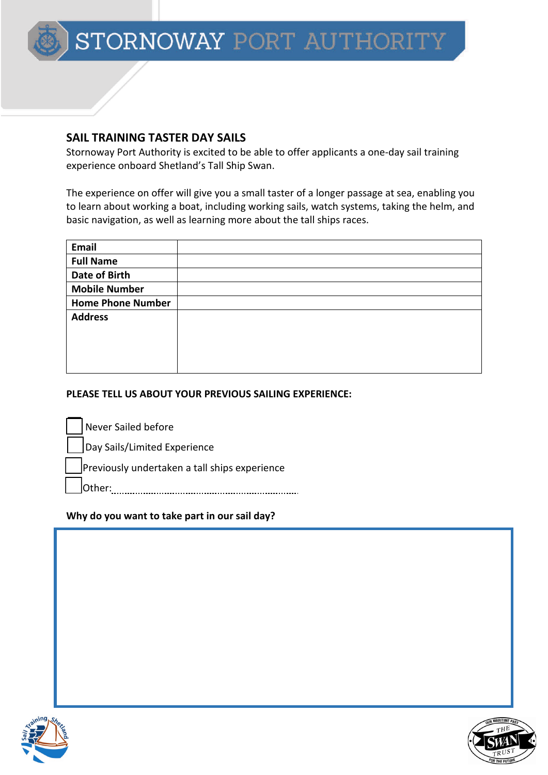# **SAIL TRAINING TASTER DAY SAILS**

Stornoway Port Authority is excited to be able to offer applicants a one-day sail training experience onboard Shetland's Tall Ship Swan.

The experience on offer will give you a small taster of a longer passage at sea, enabling you to learn about working a boat, including working sails, watch systems, taking the helm, and basic navigation, as well as learning more about the tall ships races.

| Email                    |  |
|--------------------------|--|
| <b>Full Name</b>         |  |
| Date of Birth            |  |
| <b>Mobile Number</b>     |  |
| <b>Home Phone Number</b> |  |
| <b>Address</b>           |  |
|                          |  |
|                          |  |
|                          |  |
|                          |  |

## **PLEASE TELL US ABOUT YOUR PREVIOUS SAILING EXPERIENCE:**

Never Sailed before

Day Sails/Limited Experience

Previously undertaken a tall ships experience

Other:

# **Why do you want to take part in our sail day?**



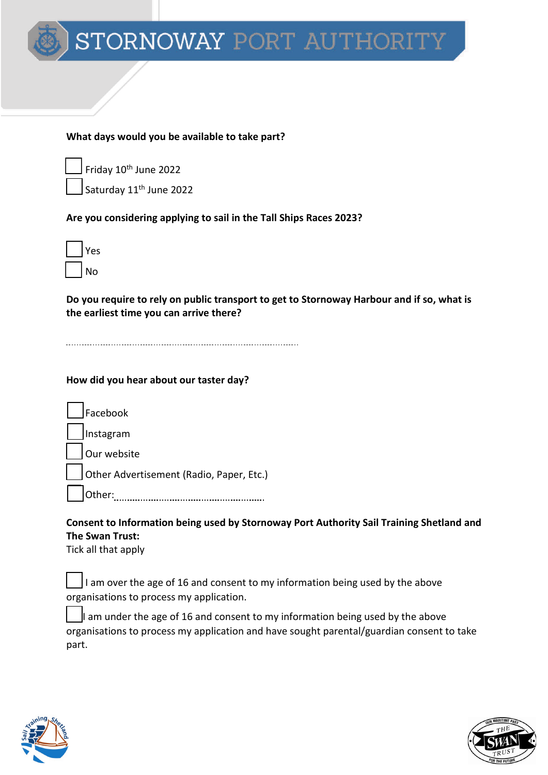### **What days would you be available to take part?**

 $\rfloor$  Friday 10<sup>th</sup> June 2022

Saturday 11<sup>th</sup> June 2022

### **Are you considering applying to sail in the Tall Ships Races 2023?**



**Do you require to rely on public transport to get to Stornoway Harbour and if so, what is the earliest time you can arrive there?**

### **How did you hear about our taster day?**

Facebook Instagram

Our website

Other Advertisement (Radio, Paper, Etc.)

Other:

# **Consent to Information being used by Stornoway Port Authority Sail Training Shetland and The Swan Trust:**

Tick all that apply

I am over the age of 16 and consent to my information being used by the above organisations to process my application.

I am under the age of 16 and consent to my information being used by the above organisations to process my application and have sought parental/guardian consent to take part.